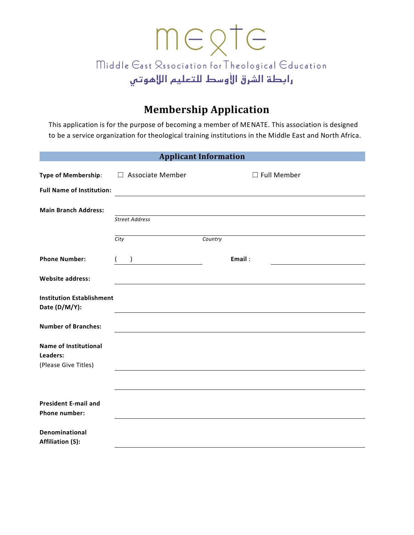## megte Middle Gast Rssociation for Theological Gducation رابطة الشرق الأوسط للتعليم اللإهوتبي

## **Membership Application**

This application is for the purpose of becoming a member of MENATE. This association is designed to be a service organization for theological training institutions in the Middle East and North Africa.

| <b>Applicant Information</b>                                     |                                                                                  |                                         |  |  |  |  |  |
|------------------------------------------------------------------|----------------------------------------------------------------------------------|-----------------------------------------|--|--|--|--|--|
| Type of Membership:                                              | $\Box$ Associate Member                                                          | $\Box$ Full Member                      |  |  |  |  |  |
| <b>Full Name of Institution:</b>                                 |                                                                                  |                                         |  |  |  |  |  |
| <b>Main Branch Address:</b>                                      | <b>Street Address</b>                                                            |                                         |  |  |  |  |  |
|                                                                  | City                                                                             | Country                                 |  |  |  |  |  |
| <b>Phone Number:</b>                                             | $\left( \begin{array}{c} 1 \end{array} \right)$<br><u> 1980 - Jan Barnett, p</u> | Email:                                  |  |  |  |  |  |
| <b>Website address:</b>                                          |                                                                                  |                                         |  |  |  |  |  |
| <b>Institution Establishment</b><br>Date (D/M/Y):                |                                                                                  |                                         |  |  |  |  |  |
| <b>Number of Branches:</b>                                       |                                                                                  | <u> 1980 - Johann Barbara, martin a</u> |  |  |  |  |  |
| <b>Name of Institutional</b><br>Leaders:<br>(Please Give Titles) |                                                                                  |                                         |  |  |  |  |  |
|                                                                  |                                                                                  |                                         |  |  |  |  |  |
| <b>President E-mail and</b><br><b>Phone number:</b>              |                                                                                  |                                         |  |  |  |  |  |
| Denominational<br><b>Affiliation (S):</b>                        |                                                                                  |                                         |  |  |  |  |  |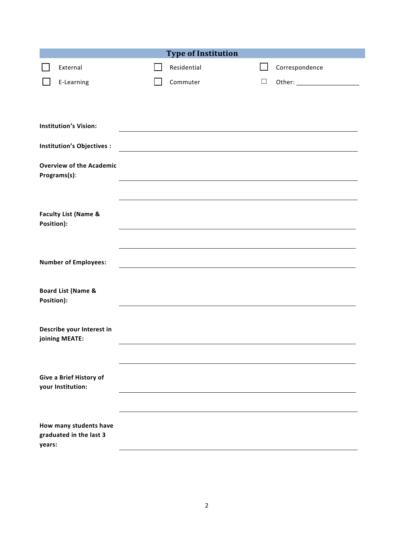| <b>Type of Institution</b>                      |  |  |             |        |                               |  |
|-------------------------------------------------|--|--|-------------|--------|-------------------------------|--|
| External                                        |  |  | Residential |        | Correspondence                |  |
| E-Learning                                      |  |  | Commuter    | $\Box$ | Other: ______________________ |  |
|                                                 |  |  |             |        |                               |  |
|                                                 |  |  |             |        |                               |  |
| <b>Institution's Vision:</b>                    |  |  |             |        |                               |  |
| Institution's Objectives :                      |  |  |             |        |                               |  |
| <b>Overview of the Academic</b><br>Programs(s): |  |  |             |        |                               |  |
|                                                 |  |  |             |        |                               |  |
| <b>Faculty List (Name &amp;</b>                 |  |  |             |        |                               |  |
| Position):                                      |  |  |             |        |                               |  |
|                                                 |  |  |             |        |                               |  |
| <b>Number of Employees:</b>                     |  |  |             |        |                               |  |
|                                                 |  |  |             |        |                               |  |
| <b>Board List (Name &amp;</b>                   |  |  |             |        |                               |  |
| Position):                                      |  |  |             |        |                               |  |
| Describe your Interest in                       |  |  |             |        |                               |  |
| joining MEATE:                                  |  |  |             |        |                               |  |
|                                                 |  |  |             |        |                               |  |
| Give a Brief History of                         |  |  |             |        |                               |  |
| your Institution:                               |  |  |             |        |                               |  |
|                                                 |  |  |             |        |                               |  |
| How many students have                          |  |  |             |        |                               |  |
| graduated in the last 3<br>years:               |  |  |             |        |                               |  |